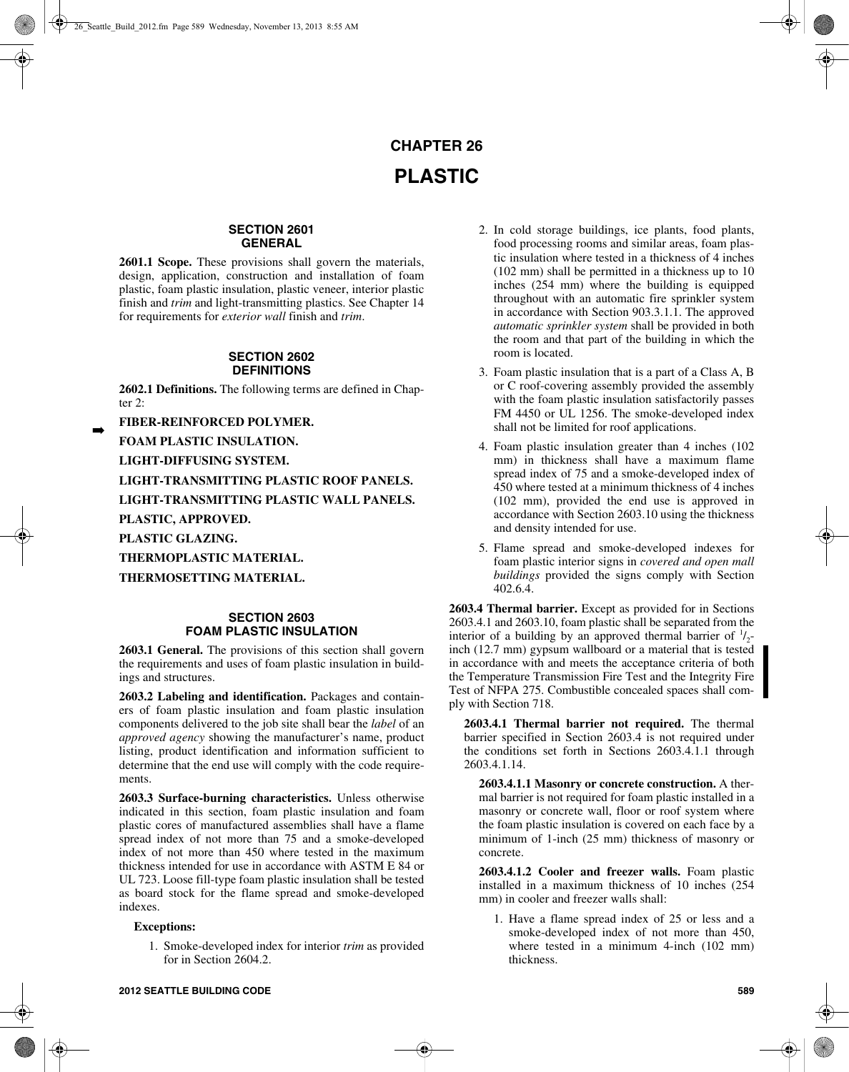# **CHAPTER 26 PLASTIC**

### **SECTION 2601 GENERAL**

**2601.1 Scope.** These provisions shall govern the materials, design, application, construction and installation of foam plastic, foam plastic insulation, plastic veneer, interior plastic finish and *trim* and light-transmitting plastics. See Chapter 14 for requirements for *exterior wall* finish and *trim*.

#### **SECTION 2602 DEFINITIONS**

**2602.1 Definitions.** The following terms are defined in Chapter  $2$ :

**FIBER-REINFORCED POLYMER.**

**FOAM PLASTIC INSULATION.**

**LIGHT-DIFFUSING SYSTEM.**

**LIGHT-TRANSMITTING PLASTIC ROOF PANELS.**

**LIGHT-TRANSMITTING PLASTIC WALL PANELS.**

**PLASTIC, APPROVED.**

**PLASTIC GLAZING.**

➡

**THERMOPLASTIC MATERIAL.**

**THERMOSETTING MATERIAL.**

## **SECTION 2603 FOAM PLASTIC INSULATION**

**2603.1 General.** The provisions of this section shall govern the requirements and uses of foam plastic insulation in buildings and structures.

**2603.2 Labeling and identification.** Packages and containers of foam plastic insulation and foam plastic insulation components delivered to the job site shall bear the *label* of an *approved agency* showing the manufacturer's name, product listing, product identification and information sufficient to determine that the end use will comply with the code requirements.

**2603.3 Surface-burning characteristics.** Unless otherwise indicated in this section, foam plastic insulation and foam plastic cores of manufactured assemblies shall have a flame spread index of not more than 75 and a smoke-developed index of not more than 450 where tested in the maximum thickness intended for use in accordance with ASTM E 84 or UL 723. Loose fill-type foam plastic insulation shall be tested as board stock for the flame spread and smoke-developed indexes.

## **Exceptions:**

1. Smoke-developed index for interior *trim* as provided for in Section 2604.2.

- 2. In cold storage buildings, ice plants, food plants, food processing rooms and similar areas, foam plastic insulation where tested in a thickness of 4 inches (102 mm) shall be permitted in a thickness up to 10 inches (254 mm) where the building is equipped throughout with an automatic fire sprinkler system in accordance with Section 903.3.1.1. The approved *automatic sprinkler system* shall be provided in both the room and that part of the building in which the room is located.
- 3. Foam plastic insulation that is a part of a Class A, B or C roof-covering assembly provided the assembly with the foam plastic insulation satisfactorily passes FM 4450 or UL 1256. The smoke-developed index shall not be limited for roof applications.
- 4. Foam plastic insulation greater than 4 inches (102 mm) in thickness shall have a maximum flame spread index of 75 and a smoke-developed index of 450 where tested at a minimum thickness of 4 inches (102 mm), provided the end use is approved in accordance with Section 2603.10 using the thickness and density intended for use.
- 5. Flame spread and smoke-developed indexes for foam plastic interior signs in *covered and open mall buildings* provided the signs comply with Section 402.6.4.

**2603.4 Thermal barrier.** Except as provided for in Sections 2603.4.1 and 2603.10, foam plastic shall be separated from the interior of a building by an approved thermal barrier of  $\frac{1}{2}$ inch (12.7 mm) gypsum wallboard or a material that is tested in accordance with and meets the acceptance criteria of both the Temperature Transmission Fire Test and the Integrity Fire Test of NFPA 275. Combustible concealed spaces shall comply with Section 718.

**2603.4.1 Thermal barrier not required.** The thermal barrier specified in Section 2603.4 is not required under the conditions set forth in Sections 2603.4.1.1 through 2603.4.1.14.

**2603.4.1.1 Masonry or concrete construction.** A thermal barrier is not required for foam plastic installed in a masonry or concrete wall, floor or roof system where the foam plastic insulation is covered on each face by a minimum of 1-inch (25 mm) thickness of masonry or concrete.

**2603.4.1.2 Cooler and freezer walls.** Foam plastic installed in a maximum thickness of 10 inches (254 mm) in cooler and freezer walls shall:

1. Have a flame spread index of 25 or less and a smoke-developed index of not more than 450, where tested in a minimum 4-inch (102 mm) thickness.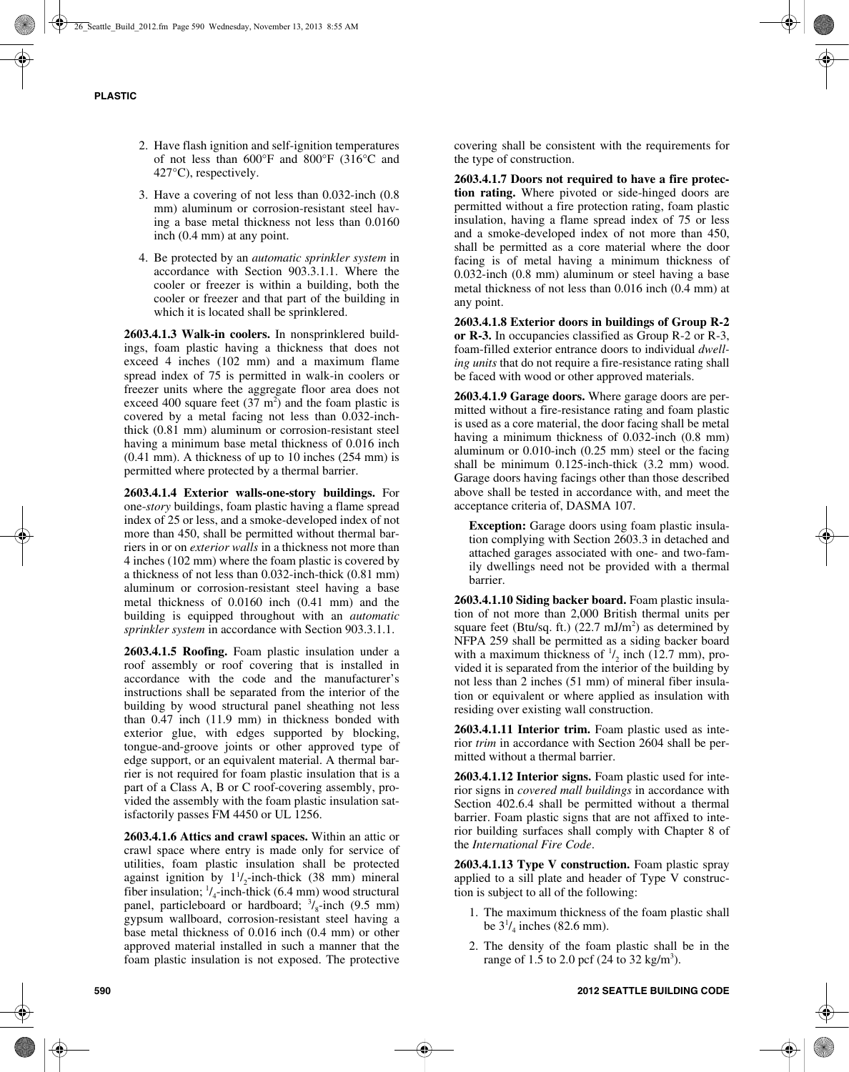- 2. Have flash ignition and self-ignition temperatures of not less than 600°F and 800°F (316°C and 427°C), respectively.
- 3. Have a covering of not less than 0.032-inch (0.8 mm) aluminum or corrosion-resistant steel having a base metal thickness not less than 0.0160 inch (0.4 mm) at any point.
- 4. Be protected by an *automatic sprinkler system* in accordance with Section 903.3.1.1. Where the cooler or freezer is within a building, both the cooler or freezer and that part of the building in which it is located shall be sprinklered.

**2603.4.1.3 Walk-in coolers.** In nonsprinklered buildings, foam plastic having a thickness that does not exceed 4 inches (102 mm) and a maximum flame spread index of 75 is permitted in walk-in coolers or freezer units where the aggregate floor area does not exceed 400 square feet  $(37 \text{ m}^2)$  and the foam plastic is covered by a metal facing not less than 0.032-inchthick (0.81 mm) aluminum or corrosion-resistant steel having a minimum base metal thickness of 0.016 inch (0.41 mm). A thickness of up to 10 inches (254 mm) is permitted where protected by a thermal barrier.

**2603.4.1.4 Exterior walls-one-story buildings.** For one-*story* buildings, foam plastic having a flame spread index of 25 or less, and a smoke-developed index of not more than 450, shall be permitted without thermal barriers in or on *exterior walls* in a thickness not more than 4 inches (102 mm) where the foam plastic is covered by a thickness of not less than 0.032-inch-thick (0.81 mm) aluminum or corrosion-resistant steel having a base metal thickness of 0.0160 inch (0.41 mm) and the building is equipped throughout with an *automatic sprinkler system* in accordance with Section 903.3.1.1.

**2603.4.1.5 Roofing.** Foam plastic insulation under a roof assembly or roof covering that is installed in accordance with the code and the manufacturer's instructions shall be separated from the interior of the building by wood structural panel sheathing not less than 0.47 inch (11.9 mm) in thickness bonded with exterior glue, with edges supported by blocking, tongue-and-groove joints or other approved type of edge support, or an equivalent material. A thermal barrier is not required for foam plastic insulation that is a part of a Class A, B or C roof-covering assembly, provided the assembly with the foam plastic insulation satisfactorily passes FM 4450 or UL 1256.

**2603.4.1.6 Attics and crawl spaces.** Within an attic or crawl space where entry is made only for service of utilities, foam plastic insulation shall be protected against ignition by  $1^{1}/_{2}$ -inch-thick (38 mm) mineral fiber insulation;  $\frac{1}{4}$ -inch-thick (6.4 mm) wood structural panel, particleboard or hardboard;  $\frac{3}{8}$ -inch (9.5 mm) gypsum wallboard, corrosion-resistant steel having a base metal thickness of 0.016 inch (0.4 mm) or other approved material installed in such a manner that the foam plastic insulation is not exposed. The protective

covering shall be consistent with the requirements for the type of construction.

**2603.4.1.7 Doors not required to have a fire protection rating.** Where pivoted or side-hinged doors are permitted without a fire protection rating, foam plastic insulation, having a flame spread index of 75 or less and a smoke-developed index of not more than 450, shall be permitted as a core material where the door facing is of metal having a minimum thickness of 0.032-inch (0.8 mm) aluminum or steel having a base metal thickness of not less than 0.016 inch (0.4 mm) at any point.

**2603.4.1.8 Exterior doors in buildings of Group R-2 or R-3.** In occupancies classified as Group R-2 or R-3, foam-filled exterior entrance doors to individual *dwelling units* that do not require a fire-resistance rating shall be faced with wood or other approved materials.

**2603.4.1.9 Garage doors.** Where garage doors are permitted without a fire-resistance rating and foam plastic is used as a core material, the door facing shall be metal having a minimum thickness of 0.032-inch (0.8 mm) aluminum or 0.010-inch (0.25 mm) steel or the facing shall be minimum 0.125-inch-thick (3.2 mm) wood. Garage doors having facings other than those described above shall be tested in accordance with, and meet the acceptance criteria of, DASMA 107.

**Exception:** Garage doors using foam plastic insulation complying with Section 2603.3 in detached and attached garages associated with one- and two-family dwellings need not be provided with a thermal barrier.

**2603.4.1.10 Siding backer board.** Foam plastic insulation of not more than 2,000 British thermal units per square feet (Btu/sq. ft.)  $(22.7 \text{ mJ/m}^2)$  as determined by NFPA 259 shall be permitted as a siding backer board with a maximum thickness of  $\frac{1}{2}$  inch (12.7 mm), provided it is separated from the interior of the building by not less than 2 inches (51 mm) of mineral fiber insulation or equivalent or where applied as insulation with residing over existing wall construction.

**2603.4.1.11 Interior trim.** Foam plastic used as interior *trim* in accordance with Section 2604 shall be permitted without a thermal barrier.

**2603.4.1.12 Interior signs.** Foam plastic used for interior signs in *covered mall buildings* in accordance with Section 402.6.4 shall be permitted without a thermal barrier. Foam plastic signs that are not affixed to interior building surfaces shall comply with Chapter 8 of the *International Fire Code*.

**2603.4.1.13 Type V construction.** Foam plastic spray applied to a sill plate and header of Type V construction is subject to all of the following:

- 1. The maximum thickness of the foam plastic shall be  $3^{1}/_{4}$  inches (82.6 mm).
- 2. The density of the foam plastic shall be in the range of 1.5 to 2.0 pcf (24 to 32 kg/m<sup>3</sup>).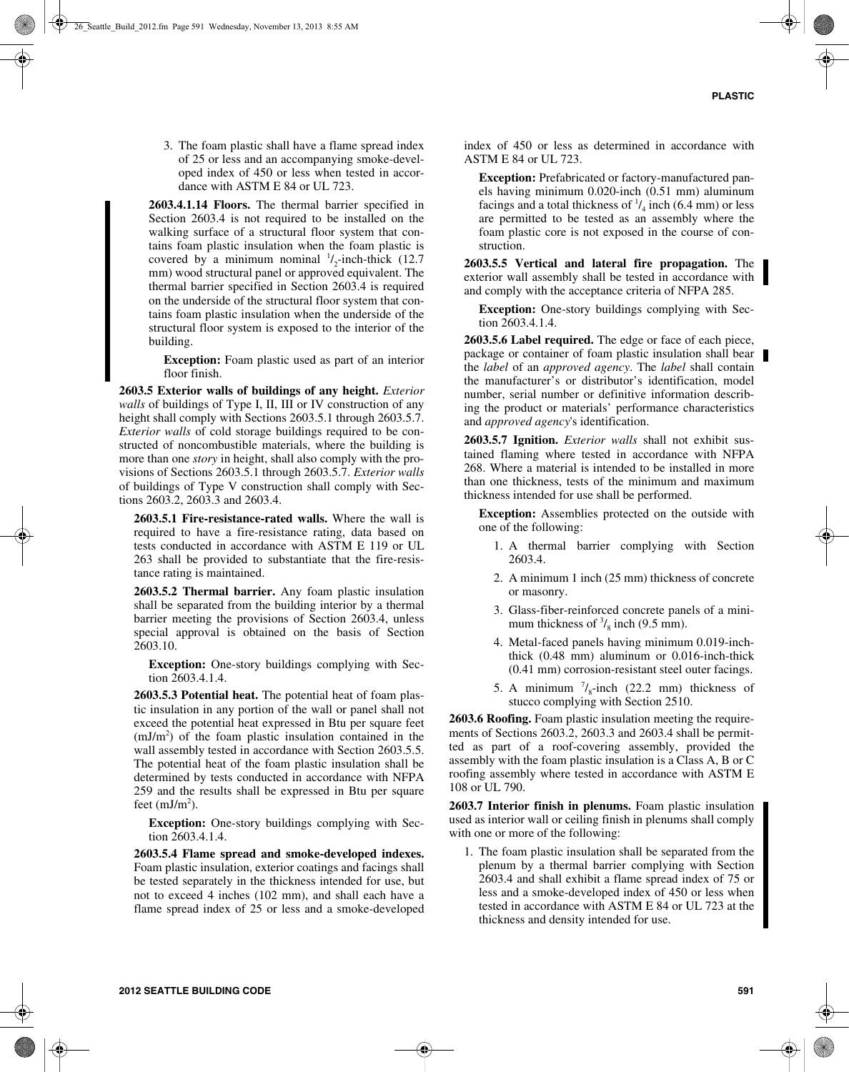3. The foam plastic shall have a flame spread index of 25 or less and an accompanying smoke-developed index of 450 or less when tested in accordance with ASTM E 84 or UL 723.

**2603.4.1.14 Floors.** The thermal barrier specified in Section 2603.4 is not required to be installed on the walking surface of a structural floor system that contains foam plastic insulation when the foam plastic is covered by a minimum nominal  $\frac{1}{2}$ -inch-thick (12.7) mm) wood structural panel or approved equivalent. The thermal barrier specified in Section 2603.4 is required on the underside of the structural floor system that contains foam plastic insulation when the underside of the structural floor system is exposed to the interior of the building.

**Exception:** Foam plastic used as part of an interior floor finish.

**2603.5 Exterior walls of buildings of any height.** *Exterior walls* of buildings of Type I, II, III or IV construction of any height shall comply with Sections 2603.5.1 through 2603.5.7. *Exterior walls* of cold storage buildings required to be constructed of noncombustible materials, where the building is more than one *story* in height, shall also comply with the provisions of Sections 2603.5.1 through 2603.5.7. *Exterior walls* of buildings of Type V construction shall comply with Sections 2603.2, 2603.3 and 2603.4.

**2603.5.1 Fire-resistance-rated walls.** Where the wall is required to have a fire-resistance rating, data based on tests conducted in accordance with ASTM E 119 or UL 263 shall be provided to substantiate that the fire-resistance rating is maintained.

**2603.5.2 Thermal barrier.** Any foam plastic insulation shall be separated from the building interior by a thermal barrier meeting the provisions of Section 2603.4, unless special approval is obtained on the basis of Section 2603.10.

**Exception:** One-story buildings complying with Section 2603.4.1.4.

**2603.5.3 Potential heat.** The potential heat of foam plastic insulation in any portion of the wall or panel shall not exceed the potential heat expressed in Btu per square feet  $(mJ/m<sup>2</sup>)$  of the foam plastic insulation contained in the wall assembly tested in accordance with Section 2603.5.5. The potential heat of the foam plastic insulation shall be determined by tests conducted in accordance with NFPA 259 and the results shall be expressed in Btu per square feet  $(mJ/m<sup>2</sup>)$ .

**Exception:** One-story buildings complying with Section 2603.4.1.4.

**2603.5.4 Flame spread and smoke-developed indexes.** Foam plastic insulation, exterior coatings and facings shall be tested separately in the thickness intended for use, but not to exceed 4 inches (102 mm), and shall each have a flame spread index of 25 or less and a smoke-developed index of 450 or less as determined in accordance with ASTM E 84 or UL 723.

**Exception:** Prefabricated or factory-manufactured panels having minimum 0.020-inch (0.51 mm) aluminum facings and a total thickness of  $\frac{1}{4}$  inch (6.4 mm) or less are permitted to be tested as an assembly where the foam plastic core is not exposed in the course of construction.

**2603.5.5 Vertical and lateral fire propagation.** The exterior wall assembly shall be tested in accordance with and comply with the acceptance criteria of NFPA 285.

**Exception:** One-story buildings complying with Section 2603.4.1.4.

**2603.5.6 Label required.** The edge or face of each piece, package or container of foam plastic insulation shall bear the *label* of an *approved agency*. The *label* shall contain the manufacturer's or distributor's identification, model number, serial number or definitive information describing the product or materials' performance characteristics and *approved agency*'s identification.

**2603.5.7 Ignition.** *Exterior walls* shall not exhibit sustained flaming where tested in accordance with NFPA 268. Where a material is intended to be installed in more than one thickness, tests of the minimum and maximum thickness intended for use shall be performed.

**Exception:** Assemblies protected on the outside with one of the following:

- 1. A thermal barrier complying with Section 2603.4.
- 2. A minimum 1 inch (25 mm) thickness of concrete or masonry.
- 3. Glass-fiber-reinforced concrete panels of a minimum thickness of  $\frac{3}{8}$  inch (9.5 mm).
- 4. Metal-faced panels having minimum 0.019-inchthick (0.48 mm) aluminum or 0.016-inch-thick (0.41 mm) corrosion-resistant steel outer facings.
- 5. A minimum  $\frac{7}{8}$ -inch (22.2 mm) thickness of stucco complying with Section 2510.

**2603.6 Roofing.** Foam plastic insulation meeting the requirements of Sections 2603.2, 2603.3 and 2603.4 shall be permitted as part of a roof-covering assembly, provided the assembly with the foam plastic insulation is a Class A, B or C roofing assembly where tested in accordance with ASTM E 108 or UL 790.

**2603.7 Interior finish in plenums.** Foam plastic insulation used as interior wall or ceiling finish in plenums shall comply with one or more of the following:

1. The foam plastic insulation shall be separated from the plenum by a thermal barrier complying with Section 2603.4 and shall exhibit a flame spread index of 75 or less and a smoke-developed index of 450 or less when tested in accordance with ASTM E 84 or UL 723 at the thickness and density intended for use.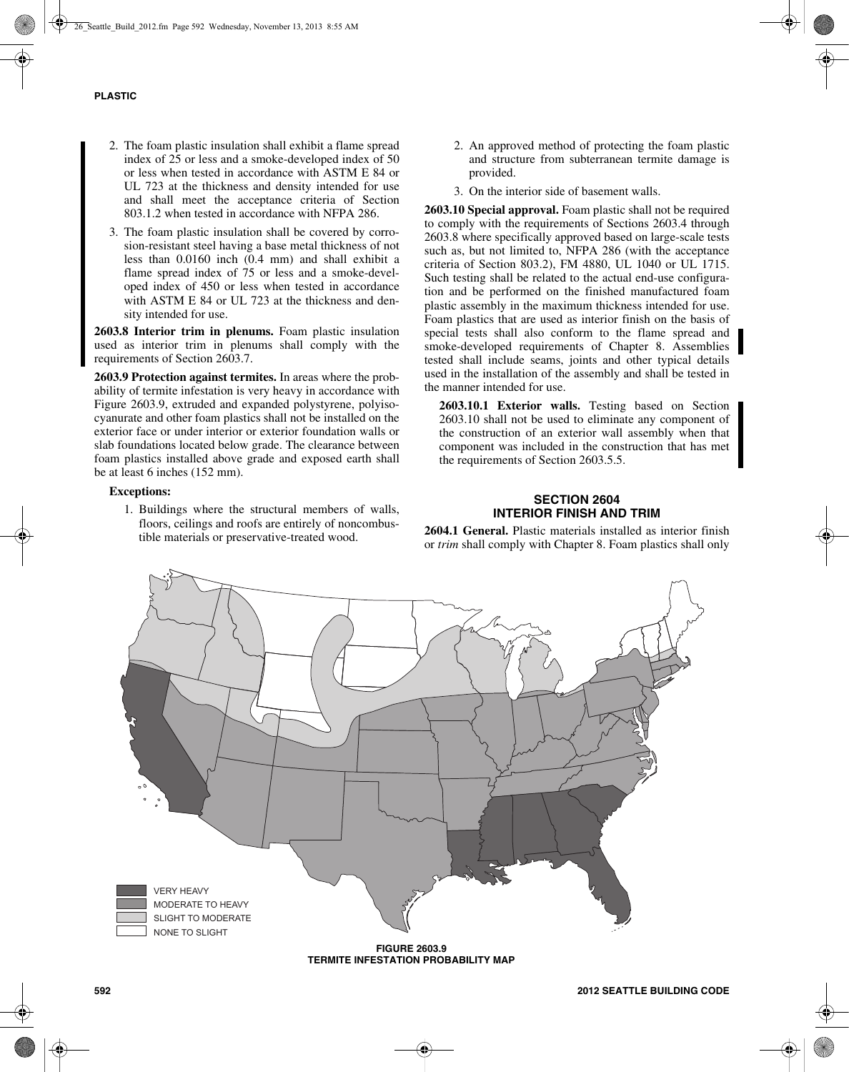- 2. The foam plastic insulation shall exhibit a flame spread index of 25 or less and a smoke-developed index of 50 or less when tested in accordance with ASTM E 84 or UL 723 at the thickness and density intended for use and shall meet the acceptance criteria of Section 803.1.2 when tested in accordance with NFPA 286.
- 3. The foam plastic insulation shall be covered by corrosion-resistant steel having a base metal thickness of not less than 0.0160 inch (0.4 mm) and shall exhibit a flame spread index of 75 or less and a smoke-developed index of 450 or less when tested in accordance with ASTM E 84 or UL 723 at the thickness and density intended for use.

**2603.8 Interior trim in plenums.** Foam plastic insulation used as interior trim in plenums shall comply with the requirements of Section 2603.7.

**2603.9 Protection against termites.** In areas where the probability of termite infestation is very heavy in accordance with Figure 2603.9, extruded and expanded polystyrene, polyisocyanurate and other foam plastics shall not be installed on the exterior face or under interior or exterior foundation walls or slab foundations located below grade. The clearance between foam plastics installed above grade and exposed earth shall be at least 6 inches (152 mm).

#### **Exceptions:**

1. Buildings where the structural members of walls, floors, ceilings and roofs are entirely of noncombustible materials or preservative-treated wood.

- 2. An approved method of protecting the foam plastic and structure from subterranean termite damage is provided.
- 3. On the interior side of basement walls.

**2603.10 Special approval.** Foam plastic shall not be required to comply with the requirements of Sections 2603.4 through 2603.8 where specifically approved based on large-scale tests such as, but not limited to, NFPA 286 (with the acceptance criteria of Section 803.2), FM 4880, UL 1040 or UL 1715. Such testing shall be related to the actual end-use configuration and be performed on the finished manufactured foam plastic assembly in the maximum thickness intended for use. Foam plastics that are used as interior finish on the basis of special tests shall also conform to the flame spread and smoke-developed requirements of Chapter 8. Assemblies tested shall include seams, joints and other typical details used in the installation of the assembly and shall be tested in the manner intended for use.

**2603.10.1 Exterior walls.** Testing based on Section 2603.10 shall not be used to eliminate any component of the construction of an exterior wall assembly when that component was included in the construction that has met the requirements of Section 2603.5.5.

#### **SECTION 2604 INTERIOR FINISH AND TRIM**

**2604.1 General.** Plastic materials installed as interior finish or *trim* shall comply with Chapter 8. Foam plastics shall only



**TERMITE INFESTATION PROBABILITY MAP**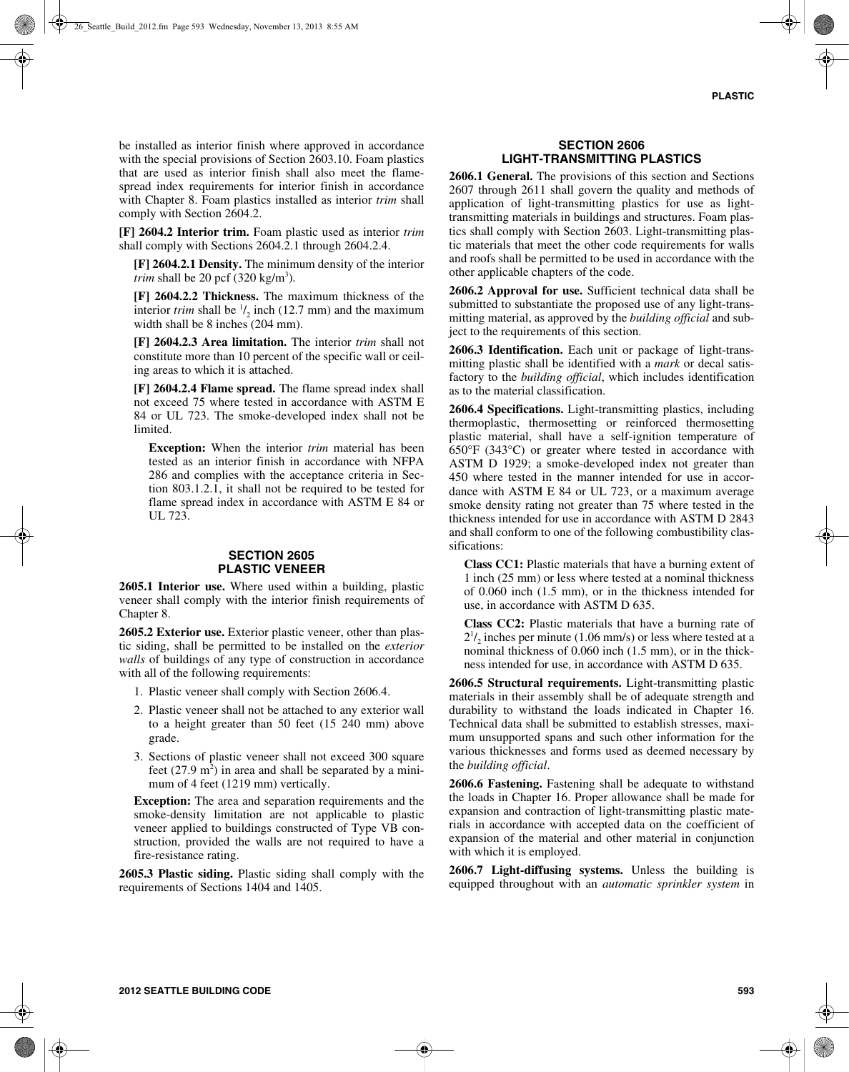be installed as interior finish where approved in accordance with the special provisions of Section 2603.10. Foam plastics that are used as interior finish shall also meet the flamespread index requirements for interior finish in accordance with Chapter 8. Foam plastics installed as interior *trim* shall comply with Section 2604.2.

**[F] 2604.2 Interior trim.** Foam plastic used as interior *trim* shall comply with Sections 2604.2.1 through 2604.2.4.

**[F] 2604.2.1 Density.** The minimum density of the interior *trim* shall be 20 pcf  $(320 \text{ kg/m}^3)$ .

**[F] 2604.2.2 Thickness.** The maximum thickness of the interior *trim* shall be  $\frac{1}{2}$  inch (12.7 mm) and the maximum width shall be 8 inches (204 mm).

**[F] 2604.2.3 Area limitation.** The interior *trim* shall not constitute more than 10 percent of the specific wall or ceiling areas to which it is attached.

**[F] 2604.2.4 Flame spread.** The flame spread index shall not exceed 75 where tested in accordance with ASTM E 84 or UL 723. The smoke-developed index shall not be limited.

**Exception:** When the interior *trim* material has been tested as an interior finish in accordance with NFPA 286 and complies with the acceptance criteria in Section 803.1.2.1, it shall not be required to be tested for flame spread index in accordance with ASTM E 84 or UL 723.

## **SECTION 2605 PLASTIC VENEER**

**2605.1 Interior use.** Where used within a building, plastic veneer shall comply with the interior finish requirements of Chapter 8.

**2605.2 Exterior use.** Exterior plastic veneer, other than plastic siding, shall be permitted to be installed on the *exterior walls* of buildings of any type of construction in accordance with all of the following requirements:

- 1. Plastic veneer shall comply with Section 2606.4.
- 2. Plastic veneer shall not be attached to any exterior wall to a height greater than 50 feet (15 240 mm) above grade.
- 3. Sections of plastic veneer shall not exceed 300 square feet  $(27.9 \text{ m}^2)$  in area and shall be separated by a minimum of 4 feet (1219 mm) vertically.

**Exception:** The area and separation requirements and the smoke-density limitation are not applicable to plastic veneer applied to buildings constructed of Type VB construction, provided the walls are not required to have a fire-resistance rating.

**2605.3 Plastic siding.** Plastic siding shall comply with the requirements of Sections 1404 and 1405.

#### **SECTION 2606 LIGHT-TRANSMITTING PLASTICS**

**2606.1 General.** The provisions of this section and Sections 2607 through 2611 shall govern the quality and methods of application of light-transmitting plastics for use as lighttransmitting materials in buildings and structures. Foam plastics shall comply with Section 2603. Light-transmitting plastic materials that meet the other code requirements for walls and roofs shall be permitted to be used in accordance with the other applicable chapters of the code.

**2606.2 Approval for use.** Sufficient technical data shall be submitted to substantiate the proposed use of any light-transmitting material, as approved by the *building official* and subject to the requirements of this section.

**2606.3 Identification.** Each unit or package of light-transmitting plastic shall be identified with a *mark* or decal satisfactory to the *building official*, which includes identification as to the material classification.

**2606.4 Specifications.** Light-transmitting plastics, including thermoplastic, thermosetting or reinforced thermosetting plastic material, shall have a self-ignition temperature of 650°F (343°C) or greater where tested in accordance with ASTM D 1929; a smoke-developed index not greater than 450 where tested in the manner intended for use in accordance with ASTM E 84 or UL 723, or a maximum average smoke density rating not greater than 75 where tested in the thickness intended for use in accordance with ASTM D 2843 and shall conform to one of the following combustibility classifications:

**Class CC1:** Plastic materials that have a burning extent of 1 inch (25 mm) or less where tested at a nominal thickness of 0.060 inch (1.5 mm), or in the thickness intended for use, in accordance with ASTM D 635.

**Class CC2:** Plastic materials that have a burning rate of  $2^{1/2}$  inches per minute (1.06 mm/s) or less where tested at a nominal thickness of 0.060 inch (1.5 mm), or in the thickness intended for use, in accordance with ASTM D 635.

**2606.5 Structural requirements.** Light-transmitting plastic materials in their assembly shall be of adequate strength and durability to withstand the loads indicated in Chapter 16. Technical data shall be submitted to establish stresses, maximum unsupported spans and such other information for the various thicknesses and forms used as deemed necessary by the *building official*.

**2606.6 Fastening.** Fastening shall be adequate to withstand the loads in Chapter 16. Proper allowance shall be made for expansion and contraction of light-transmitting plastic materials in accordance with accepted data on the coefficient of expansion of the material and other material in conjunction with which it is employed.

**2606.7 Light-diffusing systems.** Unless the building is equipped throughout with an *automatic sprinkler system* in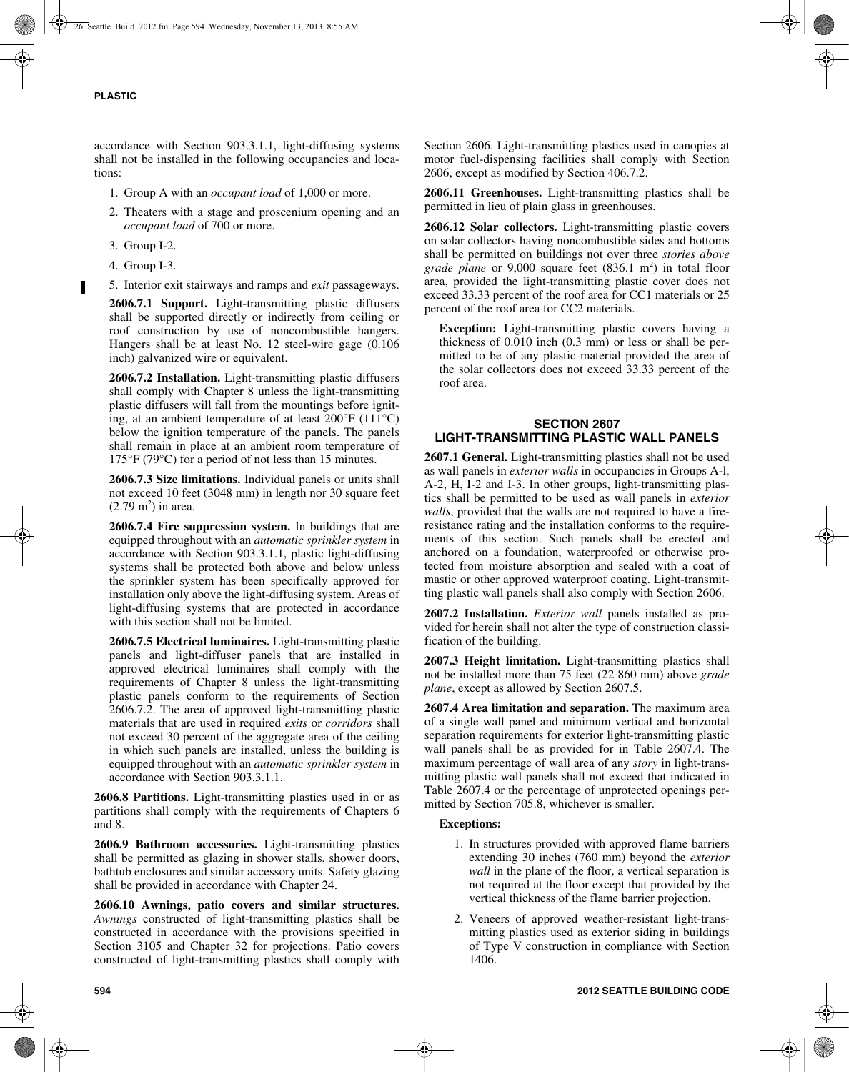accordance with Section 903.3.1.1, light-diffusing systems shall not be installed in the following occupancies and locations:

- 1. Group A with an *occupant load* of 1,000 or more.
- 2. Theaters with a stage and proscenium opening and an *occupant load* of 700 or more.
- 3. Group I-2.
- 4. Group I-3.

п

5. Interior exit stairways and ramps and *exit* passageways.

**2606.7.1 Support.** Light-transmitting plastic diffusers shall be supported directly or indirectly from ceiling or roof construction by use of noncombustible hangers. Hangers shall be at least No. 12 steel-wire gage (0.106 inch) galvanized wire or equivalent.

**2606.7.2 Installation.** Light-transmitting plastic diffusers shall comply with Chapter 8 unless the light-transmitting plastic diffusers will fall from the mountings before igniting, at an ambient temperature of at least 200°F (111°C) below the ignition temperature of the panels. The panels shall remain in place at an ambient room temperature of 175°F (79°C) for a period of not less than 15 minutes.

**2606.7.3 Size limitations.** Individual panels or units shall not exceed 10 feet (3048 mm) in length nor 30 square feet  $(2.79 \text{ m}^2)$  in area.

**2606.7.4 Fire suppression system.** In buildings that are equipped throughout with an *automatic sprinkler system* in accordance with Section 903.3.1.1, plastic light-diffusing systems shall be protected both above and below unless the sprinkler system has been specifically approved for installation only above the light-diffusing system. Areas of light-diffusing systems that are protected in accordance with this section shall not be limited.

**2606.7.5 Electrical luminaires.** Light-transmitting plastic panels and light-diffuser panels that are installed in approved electrical luminaires shall comply with the requirements of Chapter 8 unless the light-transmitting plastic panels conform to the requirements of Section 2606.7.2. The area of approved light-transmitting plastic materials that are used in required *exits* or *corridors* shall not exceed 30 percent of the aggregate area of the ceiling in which such panels are installed, unless the building is equipped throughout with an *automatic sprinkler system* in accordance with Section 903.3.1.1.

**2606.8 Partitions.** Light-transmitting plastics used in or as partitions shall comply with the requirements of Chapters 6 and 8.

**2606.9 Bathroom accessories.** Light-transmitting plastics shall be permitted as glazing in shower stalls, shower doors, bathtub enclosures and similar accessory units. Safety glazing shall be provided in accordance with Chapter 24.

**2606.10 Awnings, patio covers and similar structures.** *Awnings* constructed of light-transmitting plastics shall be constructed in accordance with the provisions specified in Section 3105 and Chapter 32 for projections. Patio covers constructed of light-transmitting plastics shall comply with Section 2606. Light-transmitting plastics used in canopies at motor fuel-dispensing facilities shall comply with Section 2606, except as modified by Section 406.7.2.

**2606.11 Greenhouses.** Light-transmitting plastics shall be permitted in lieu of plain glass in greenhouses.

**2606.12 Solar collectors.** Light-transmitting plastic covers on solar collectors having noncombustible sides and bottoms shall be permitted on buildings not over three *stories above grade plane* or 9,000 square feet (836.1 m<sup>2</sup>) in total floor area, provided the light-transmitting plastic cover does not exceed 33.33 percent of the roof area for CC1 materials or 25 percent of the roof area for CC2 materials.

**Exception:** Light-transmitting plastic covers having a thickness of 0.010 inch (0.3 mm) or less or shall be permitted to be of any plastic material provided the area of the solar collectors does not exceed 33.33 percent of the roof area.

## **SECTION 2607 LIGHT-TRANSMITTING PLASTIC WALL PANELS**

**2607.1 General.** Light-transmitting plastics shall not be used as wall panels in *exterior walls* in occupancies in Groups A-l, A-2, H, I-2 and I-3. In other groups, light-transmitting plastics shall be permitted to be used as wall panels in *exterior walls*, provided that the walls are not required to have a fireresistance rating and the installation conforms to the requirements of this section. Such panels shall be erected and anchored on a foundation, waterproofed or otherwise protected from moisture absorption and sealed with a coat of mastic or other approved waterproof coating. Light-transmitting plastic wall panels shall also comply with Section 2606.

**2607.2 Installation.** *Exterior wall* panels installed as provided for herein shall not alter the type of construction classification of the building.

**2607.3 Height limitation.** Light-transmitting plastics shall not be installed more than 75 feet (22 860 mm) above *grade plane*, except as allowed by Section 2607.5.

**2607.4 Area limitation and separation.** The maximum area of a single wall panel and minimum vertical and horizontal separation requirements for exterior light-transmitting plastic wall panels shall be as provided for in Table 2607.4. The maximum percentage of wall area of any *story* in light-transmitting plastic wall panels shall not exceed that indicated in Table 2607.4 or the percentage of unprotected openings permitted by Section 705.8, whichever is smaller.

## **Exceptions:**

- 1. In structures provided with approved flame barriers extending 30 inches (760 mm) beyond the *exterior wall* in the plane of the floor, a vertical separation is not required at the floor except that provided by the vertical thickness of the flame barrier projection.
- 2. Veneers of approved weather-resistant light-transmitting plastics used as exterior siding in buildings of Type V construction in compliance with Section 1406.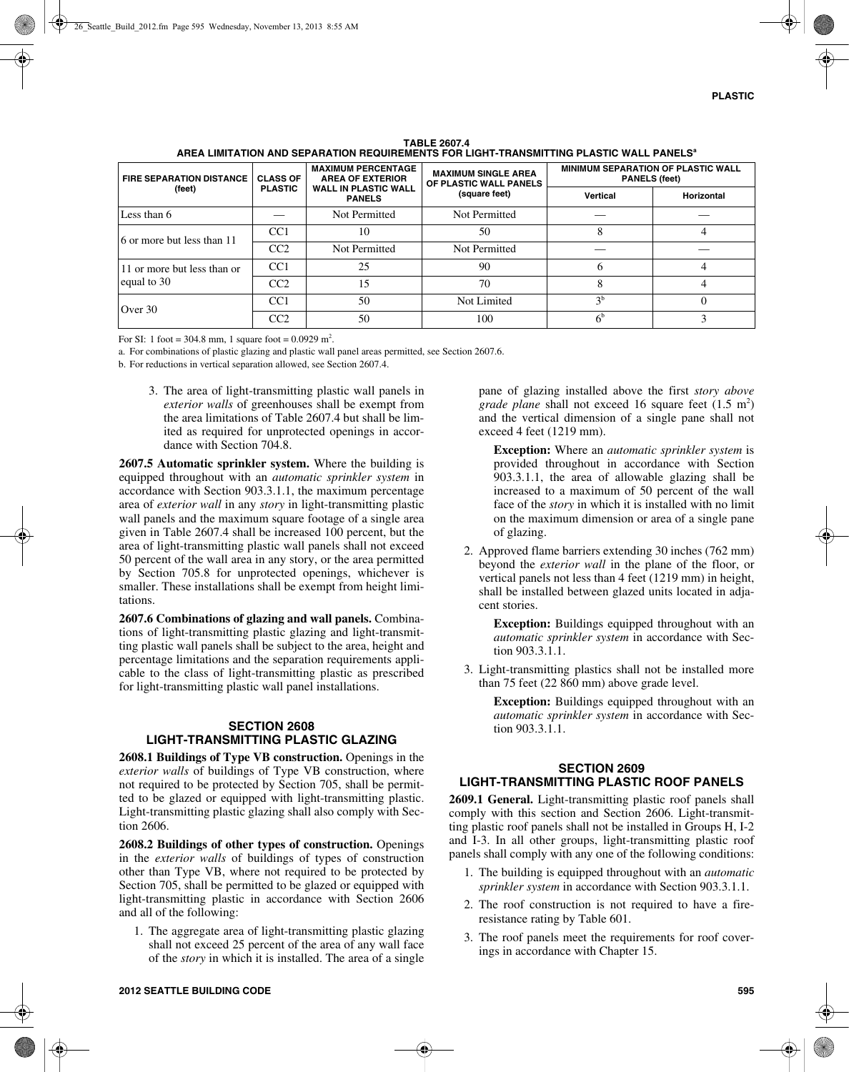#### **TABLE 2607.4 AREA LIMITATION AND SEPARATION REQUIREMENTS FOR LIGHT-TRANSMITTING PLASTIC WALL PANELS<sup>a</sup>**

| <b>FIRE SEPARATION DISTANCE</b>            | <b>CLASS OF</b><br><b>PLASTIC</b> | <b>MAXIMUM PERCENTAGE</b><br><b>AREA OF EXTERIOR</b><br><b>WALL IN PLASTIC WALL</b><br><b>PANELS</b> | <b>MAXIMUM SINGLE AREA</b><br>OF PLASTIC WALL PANELS<br>(square feet) | <b>MINIMUM SEPARATION OF PLASTIC WALL</b><br><b>PANELS (feet)</b> |            |
|--------------------------------------------|-----------------------------------|------------------------------------------------------------------------------------------------------|-----------------------------------------------------------------------|-------------------------------------------------------------------|------------|
| (feet)                                     |                                   |                                                                                                      |                                                                       | Vertical                                                          | Horizontal |
| Less than 6                                |                                   | Not Permitted                                                                                        | Not Permitted                                                         |                                                                   |            |
| 16 or more but less than 11                | CC1                               | 10                                                                                                   | 50                                                                    | 8                                                                 |            |
|                                            | CC <sub>2</sub>                   | Not Permitted                                                                                        | Not Permitted                                                         |                                                                   |            |
| 11 or more but less than or<br>equal to 30 | CC1                               | 25                                                                                                   | 90                                                                    | <sub>b</sub>                                                      |            |
|                                            | CC2                               | 15                                                                                                   | 70                                                                    | 8                                                                 |            |
| Over 30                                    | CC1                               | 50                                                                                                   | Not Limited                                                           | 3 <sup>b</sup>                                                    |            |
|                                            | CC2                               | 50                                                                                                   | 100                                                                   | 6 <sup>b</sup>                                                    |            |

For SI: 1 foot = 304.8 mm, 1 square foot =  $0.0929$  m<sup>2</sup>.

a. For combinations of plastic glazing and plastic wall panel areas permitted, see Section 2607.6.

b. For reductions in vertical separation allowed, see Section 2607.4.

3. The area of light-transmitting plastic wall panels in *exterior walls* of greenhouses shall be exempt from the area limitations of Table 2607.4 but shall be limited as required for unprotected openings in accordance with Section 704.8.

**2607.5 Automatic sprinkler system.** Where the building is equipped throughout with an *automatic sprinkler system* in accordance with Section 903.3.1.1, the maximum percentage area of *exterior wall* in any *story* in light-transmitting plastic wall panels and the maximum square footage of a single area given in Table 2607.4 shall be increased 100 percent, but the area of light-transmitting plastic wall panels shall not exceed 50 percent of the wall area in any story, or the area permitted by Section 705.8 for unprotected openings, whichever is smaller. These installations shall be exempt from height limitations.

**2607.6 Combinations of glazing and wall panels.** Combinations of light-transmitting plastic glazing and light-transmitting plastic wall panels shall be subject to the area, height and percentage limitations and the separation requirements applicable to the class of light-transmitting plastic as prescribed for light-transmitting plastic wall panel installations.

#### **SECTION 2608 LIGHT-TRANSMITTING PLASTIC GLAZING**

**2608.1 Buildings of Type VB construction.** Openings in the *exterior walls* of buildings of Type VB construction, where not required to be protected by Section 705, shall be permitted to be glazed or equipped with light-transmitting plastic. Light-transmitting plastic glazing shall also comply with Section 2606.

**2608.2 Buildings of other types of construction.** Openings in the *exterior walls* of buildings of types of construction other than Type VB, where not required to be protected by Section 705, shall be permitted to be glazed or equipped with light-transmitting plastic in accordance with Section 2606 and all of the following:

1. The aggregate area of light-transmitting plastic glazing shall not exceed 25 percent of the area of any wall face of the *story* in which it is installed. The area of a single pane of glazing installed above the first *story above grade plane* shall not exceed 16 square feet  $(1.5 \text{ m}^2)$ and the vertical dimension of a single pane shall not exceed 4 feet (1219 mm).

- **Exception:** Where an *automatic sprinkler system* is provided throughout in accordance with Section 903.3.1.1, the area of allowable glazing shall be increased to a maximum of 50 percent of the wall face of the *story* in which it is installed with no limit on the maximum dimension or area of a single pane of glazing.
- 2. Approved flame barriers extending 30 inches (762 mm) beyond the *exterior wall* in the plane of the floor, or vertical panels not less than 4 feet (1219 mm) in height, shall be installed between glazed units located in adjacent stories.

**Exception:** Buildings equipped throughout with an *automatic sprinkler system* in accordance with Section 903.3.1.1.

3. Light-transmitting plastics shall not be installed more than 75 feet (22 860 mm) above grade level.

**Exception:** Buildings equipped throughout with an *automatic sprinkler system* in accordance with Section 903.3.1.1.

#### **SECTION 2609 LIGHT-TRANSMITTING PLASTIC ROOF PANELS**

**2609.1 General.** Light-transmitting plastic roof panels shall comply with this section and Section 2606. Light-transmitting plastic roof panels shall not be installed in Groups H, I-2 and I-3. In all other groups, light-transmitting plastic roof panels shall comply with any one of the following conditions:

- 1. The building is equipped throughout with an *automatic sprinkler system* in accordance with Section 903.3.1.1.
- 2. The roof construction is not required to have a fireresistance rating by Table 601.
- 3. The roof panels meet the requirements for roof coverings in accordance with Chapter 15.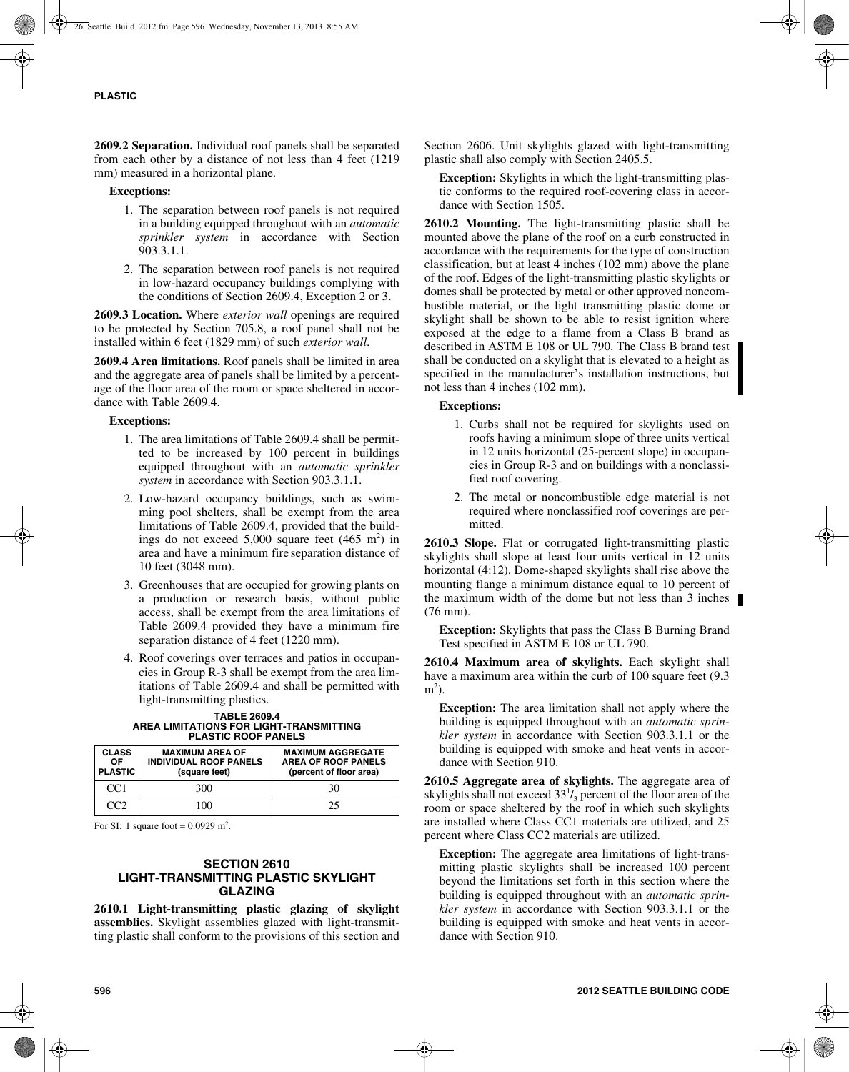**2609.2 Separation.** Individual roof panels shall be separated from each other by a distance of not less than 4 feet (1219 mm) measured in a horizontal plane.

#### **Exceptions:**

- 1. The separation between roof panels is not required in a building equipped throughout with an *automatic sprinkler system* in accordance with Section 903.3.1.1.
- 2. The separation between roof panels is not required in low-hazard occupancy buildings complying with the conditions of Section 2609.4, Exception 2 or 3.

**2609.3 Location.** Where *exterior wall* openings are required to be protected by Section 705.8, a roof panel shall not be installed within 6 feet (1829 mm) of such *exterior wall*.

**2609.4 Area limitations.** Roof panels shall be limited in area and the aggregate area of panels shall be limited by a percentage of the floor area of the room or space sheltered in accordance with Table 2609.4.

#### **Exceptions:**

- 1. The area limitations of Table 2609.4 shall be permitted to be increased by 100 percent in buildings equipped throughout with an *automatic sprinkler system* in accordance with Section 903.3.1.1.
- 2. Low-hazard occupancy buildings, such as swimming pool shelters, shall be exempt from the area limitations of Table 2609.4, provided that the buildings do not exceed  $5,000$  square feet  $(465 \text{ m}^2)$  in area and have a minimum fire separation distance of 10 feet (3048 mm).
- 3. Greenhouses that are occupied for growing plants on a production or research basis, without public access, shall be exempt from the area limitations of Table 2609.4 provided they have a minimum fire separation distance of 4 feet (1220 mm).
- 4. Roof coverings over terraces and patios in occupancies in Group R-3 shall be exempt from the area limitations of Table 2609.4 and shall be permitted with light-transmitting plastics.

## **TABLE 2609.4 AREA LIMITATIONS FOR LIGHT-TRANSMITTING PLASTIC ROOF PANELS**

| <b>CLASS</b><br>OF.<br><b>PLASTIC</b> | <b>MAXIMUM AREA OF</b><br><b>INDIVIDUAL ROOF PANELS</b><br>(square feet) | <b>MAXIMUM AGGREGATE</b><br><b>AREA OF ROOF PANELS</b><br>(percent of floor area) |
|---------------------------------------|--------------------------------------------------------------------------|-----------------------------------------------------------------------------------|
| CC <sub>1</sub>                       | 300                                                                      | 30                                                                                |
| rr                                    | ഥറ                                                                       | 25                                                                                |

For SI: 1 square foot =  $0.0929 \text{ m}^2$ .

#### **SECTION 2610 LIGHT-TRANSMITTING PLASTIC SKYLIGHT GLAZING**

**2610.1 Light-transmitting plastic glazing of skylight assemblies.** Skylight assemblies glazed with light-transmitting plastic shall conform to the provisions of this section and Section 2606. Unit skylights glazed with light-transmitting plastic shall also comply with Section 2405.5.

**Exception:** Skylights in which the light-transmitting plastic conforms to the required roof-covering class in accordance with Section 1505.

**2610.2 Mounting.** The light-transmitting plastic shall be mounted above the plane of the roof on a curb constructed in accordance with the requirements for the type of construction classification, but at least 4 inches (102 mm) above the plane of the roof. Edges of the light-transmitting plastic skylights or domes shall be protected by metal or other approved noncombustible material, or the light transmitting plastic dome or skylight shall be shown to be able to resist ignition where exposed at the edge to a flame from a Class B brand as described in ASTM E 108 or UL 790. The Class B brand test shall be conducted on a skylight that is elevated to a height as specified in the manufacturer's installation instructions, but not less than 4 inches (102 mm).

#### **Exceptions:**

- 1. Curbs shall not be required for skylights used on roofs having a minimum slope of three units vertical in 12 units horizontal (25-percent slope) in occupancies in Group R-3 and on buildings with a nonclassified roof covering.
- 2. The metal or noncombustible edge material is not required where nonclassified roof coverings are permitted.

**2610.3 Slope.** Flat or corrugated light-transmitting plastic skylights shall slope at least four units vertical in 12 units horizontal (4:12). Dome-shaped skylights shall rise above the mounting flange a minimum distance equal to 10 percent of the maximum width of the dome but not less than 3 inches (76 mm).

**Exception:** Skylights that pass the Class B Burning Brand Test specified in ASTM E 108 or UL 790.

**2610.4 Maximum area of skylights.** Each skylight shall have a maximum area within the curb of 100 square feet  $(9.3)$  $m<sup>2</sup>$ ).

**Exception:** The area limitation shall not apply where the building is equipped throughout with an *automatic sprinkler system* in accordance with Section 903.3.1.1 or the building is equipped with smoke and heat vents in accordance with Section 910.

**2610.5 Aggregate area of skylights.** The aggregate area of skylights shall not exceed  $33<sup>1</sup>/3$  percent of the floor area of the room or space sheltered by the roof in which such skylights are installed where Class CC1 materials are utilized, and 25 percent where Class CC2 materials are utilized.

**Exception:** The aggregate area limitations of light-transmitting plastic skylights shall be increased 100 percent beyond the limitations set forth in this section where the building is equipped throughout with an *automatic sprinkler system* in accordance with Section 903.3.1.1 or the building is equipped with smoke and heat vents in accordance with Section 910.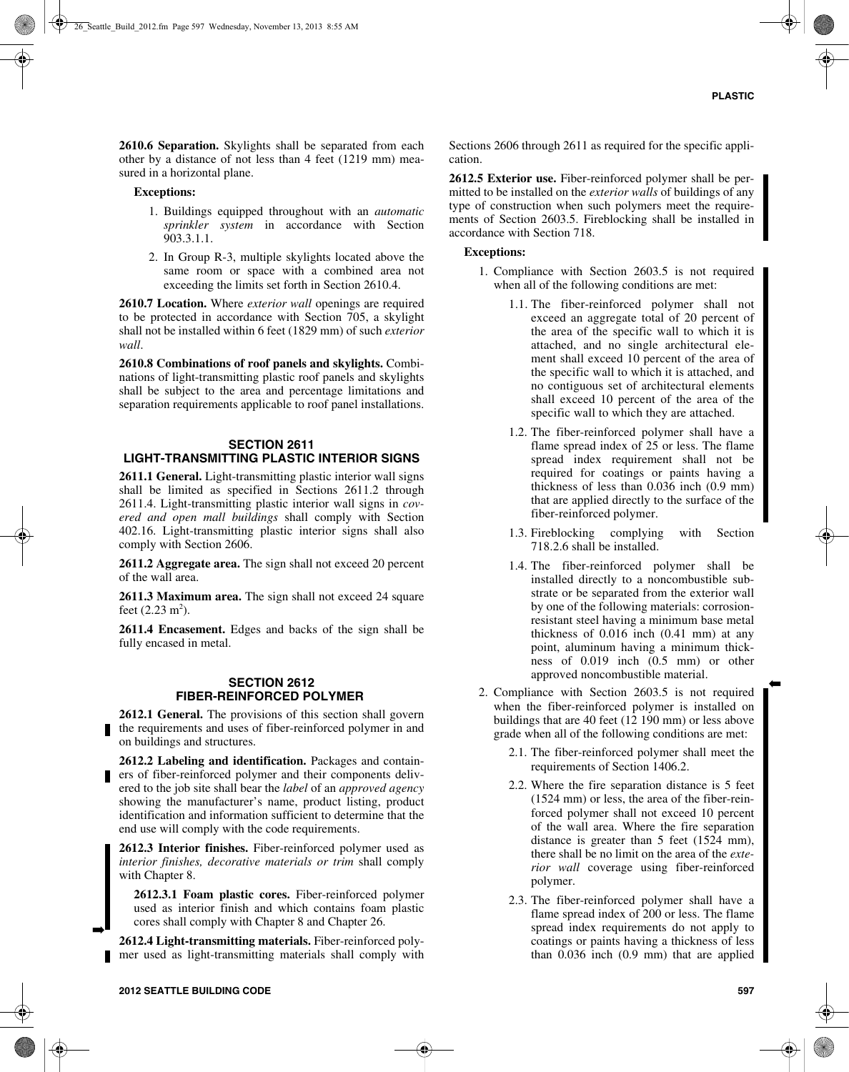**2610.6 Separation.** Skylights shall be separated from each other by a distance of not less than 4 feet (1219 mm) measured in a horizontal plane.

#### **Exceptions:**

- 1. Buildings equipped throughout with an *automatic sprinkler system* in accordance with Section 903.3.1.1.
- 2. In Group R-3, multiple skylights located above the same room or space with a combined area not exceeding the limits set forth in Section 2610.4.

**2610.7 Location.** Where *exterior wall* openings are required to be protected in accordance with Section 705, a skylight shall not be installed within 6 feet (1829 mm) of such *exterior wall*.

**2610.8 Combinations of roof panels and skylights.** Combinations of light-transmitting plastic roof panels and skylights shall be subject to the area and percentage limitations and separation requirements applicable to roof panel installations.

#### **SECTION 2611 LIGHT-TRANSMITTING PLASTIC INTERIOR SIGNS**

**2611.1 General.** Light-transmitting plastic interior wall signs shall be limited as specified in Sections 2611.2 through 2611.4. Light-transmitting plastic interior wall signs in *covered and open mall buildings* shall comply with Section 402.16. Light-transmitting plastic interior signs shall also comply with Section 2606.

**2611.2 Aggregate area.** The sign shall not exceed 20 percent of the wall area.

**2611.3 Maximum area.** The sign shall not exceed 24 square feet  $(2.23 \text{ m}^2)$ .

**2611.4 Encasement.** Edges and backs of the sign shall be fully encased in metal.

#### **SECTION 2612 FIBER-REINFORCED POLYMER**

2612.1 General. The provisions of this section shall govern the requirements and uses of fiber-reinforced polymer in and on buildings and structures.

**2612.2 Labeling and identification.** Packages and containers of fiber-reinforced polymer and their components delivered to the job site shall bear the *label* of an *approved agency* showing the manufacturer's name, product listing, product identification and information sufficient to determine that the end use will comply with the code requirements.

**2612.3 Interior finishes.** Fiber-reinforced polymer used as *interior finishes, decorative materials or trim* shall comply with Chapter 8.

**2612.3.1 Foam plastic cores.** Fiber-reinforced polymer used as interior finish and which contains foam plastic cores shall comply with Chapter 8 and Chapter 26.

**2612.4 Light-transmitting materials.** Fiber-reinforced polymer used as light-transmitting materials shall comply with Sections 2606 through 2611 as required for the specific application.

**2612.5 Exterior use.** Fiber-reinforced polymer shall be permitted to be installed on the *exterior walls* of buildings of any type of construction when such polymers meet the requirements of Section 2603.5. Fireblocking shall be installed in accordance with Section 718.

#### **Exceptions:**

- 1. Compliance with Section 2603.5 is not required when all of the following conditions are met:
	- 1.1. The fiber-reinforced polymer shall not exceed an aggregate total of 20 percent of the area of the specific wall to which it is attached, and no single architectural element shall exceed 10 percent of the area of the specific wall to which it is attached, and no contiguous set of architectural elements shall exceed 10 percent of the area of the specific wall to which they are attached.
	- 1.2. The fiber-reinforced polymer shall have a flame spread index of 25 or less. The flame spread index requirement shall not be required for coatings or paints having a thickness of less than 0.036 inch (0.9 mm) that are applied directly to the surface of the fiber-reinforced polymer.
	- 1.3. Fireblocking complying with Section 718.2.6 shall be installed.
	- 1.4. The fiber-reinforced polymer shall be installed directly to a noncombustible substrate or be separated from the exterior wall by one of the following materials: corrosionresistant steel having a minimum base metal thickness of 0.016 inch (0.41 mm) at any point, aluminum having a minimum thickness of 0.019 inch (0.5 mm) or other approved noncombustible material.
- 2. Compliance with Section 2603.5 is not required when the fiber-reinforced polymer is installed on buildings that are 40 feet (12 190 mm) or less above grade when all of the following conditions are met:
	- 2.1. The fiber-reinforced polymer shall meet the requirements of Section 1406.2.
	- 2.2. Where the fire separation distance is 5 feet (1524 mm) or less, the area of the fiber-reinforced polymer shall not exceed 10 percent of the wall area. Where the fire separation distance is greater than 5 feet (1524 mm), there shall be no limit on the area of the *exterior wall* coverage using fiber-reinforced polymer.
	- 2.3. The fiber-reinforced polymer shall have a flame spread index of 200 or less. The flame spread index requirements do not apply to coatings or paints having a thickness of less than 0.036 inch (0.9 mm) that are applied

➡

➡